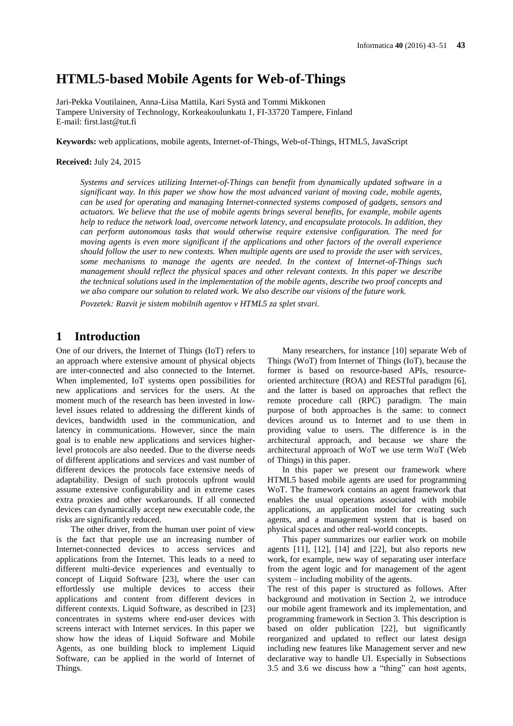# **HTML5-based Mobile Agents for Web-of-Things**

Jari-Pekka Voutilainen, Anna-Liisa Mattila, Kari Systä and Tommi Mikkonen Tampere University of Technology, Korkeakoulunkatu 1, FI-33720 Tampere, Finland E-mail: first.last@tut.fi

**Keywords:** web applications, mobile agents, Internet-of-Things, Web-of-Things, HTML5, JavaScript

#### **Received:** July 24, 2015

*Systems and services utilizing Internet-of-Things can benefit from dynamically updated software in a significant way. In this paper we show how the most advanced variant of moving code, mobile agents, can be used for operating and managing Internet-connected systems composed of gadgets, sensors and actuators. We believe that the use of mobile agents brings several benefits, for example, mobile agents help to reduce the network load, overcome network latency, and encapsulate protocols. In addition, they can perform autonomous tasks that would otherwise require extensive configuration. The need for moving agents is even more significant if the applications and other factors of the overall experience should follow the user to new contexts. When multiple agents are used to provide the user with services, some mechanisms to manage the agents are needed. In the context of Internet-of-Things such management should reflect the physical spaces and other relevant contexts. In this paper we describe the technical solutions used in the implementation of the mobile agents, describe two proof concepts and we also compare our solution to related work. We also describe our visions of the future work.*

*Povzetek: Razvit je sistem mobilnih agentov v HTML5 za splet stvari.*

# **1 Introduction**

One of our drivers, the Internet of Things (IoT) refers to an approach where extensive amount of physical objects are inter-connected and also connected to the Internet. When implemented, IoT systems open possibilities for new applications and services for the users. At the moment much of the research has been invested in lowlevel issues related to addressing the different kinds of devices, bandwidth used in the communication, and latency in communications. However, since the main goal is to enable new applications and services higherlevel protocols are also needed. Due to the diverse needs of different applications and services and vast number of different devices the protocols face extensive needs of adaptability. Design of such protocols upfront would assume extensive configurability and in extreme cases extra proxies and other workarounds. If all connected devices can dynamically accept new executable code, the risks are significantly reduced.

The other driver, from the human user point of view is the fact that people use an increasing number of Internet-connected devices to access services and applications from the Internet. This leads to a need to different multi-device experiences and eventually to concept of Liquid Software [\[23\],](#page-8-0) where the user can effortlessly use multiple devices to access their applications and content from different devices in different contexts. Liquid Software, as described in [\[23\]](#page-8-0) concentrates in systems where end-user devices with screens interact with Internet services. In this paper we show how the ideas of Liquid Software and Mobile Agents, as one building block to implement Liquid Software, can be applied in the world of Internet of Things.

Many researchers, for instance [\[10\]](#page-8-1) separate Web of Things (WoT) from Internet of Things (IoT), because the former is based on resource-based APIs, resourceoriented architecture (ROA) and RESTful paradigm [\[6\],](#page-7-0) and the latter is based on approaches that reflect the remote procedure call (RPC) paradigm. The main purpose of both approaches is the same: to connect devices around us to Internet and to use them in providing value to users. The difference is in the architectural approach, and because we share the architectural approach of WoT we use term WoT (Web of Things) in this paper.

In this paper we present our framework where HTML5 based mobile agents are used for programming WoT. The framework contains an agent framework that enables the usual operations associated with mobile applications, an application model for creating such agents, and a management system that is based on physical spaces and other real-world concepts.

This paper summarizes our earlier work on mobile agents  $[11]$ ,  $[12]$ ,  $[14]$  and  $[22]$ , but also reports new work, for example, new way of separating user interface from the agent logic and for management of the agent system – including mobility of the agents.

The rest of this paper is structured as follows. After background and motivation in Section 2, we introduce our mobile agent framework and its implementation, and programming framework in Section 3. This description is based on older publication [\[22\],](#page-8-5) but significantly reorganized and updated to reflect our latest design including new features like Management server and new declarative way to handle UI. Especially in Subsections 3.5 and 3.6 we discuss how a "thing" can host agents,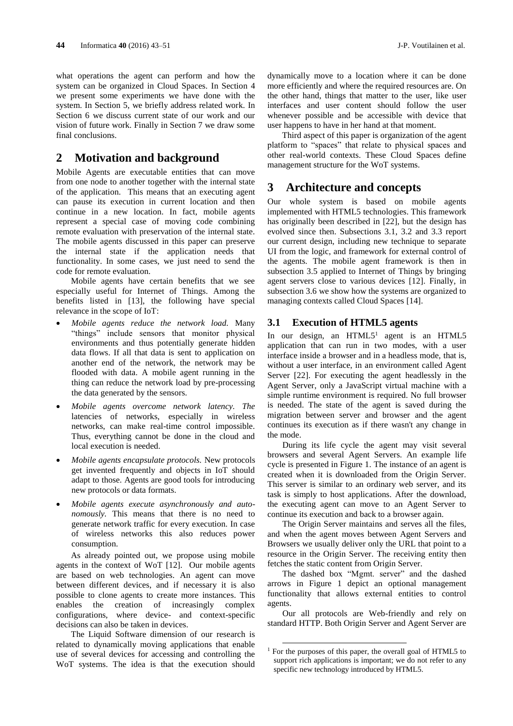what operations the agent can perform and how the system can be organized in Cloud Spaces. In Section 4 we present some experiments we have done with the system. In Section 5, we briefly address related work. In Section 6 we discuss current state of our work and our vision of future work. Finally in Section 7 we draw some final conclusions.

# **2 Motivation and background**

Mobile Agents are executable entities that can move from one node to another together with the internal state of the application. This means that an executing agent can pause its execution in current location and then continue in a new location. In fact, mobile agents represent a special case of moving code combining remote evaluation with preservation of the internal state. The mobile agents discussed in this paper can preserve the internal state if the application needs that functionality. In some cases, we just need to send the code for remote evaluation.

Mobile agents have certain benefits that we see especially useful for Internet of Things. Among the benefits listed in [\[13\],](#page-8-6) the following have special relevance in the scope of IoT:

- *Mobile agents reduce the network load.* Many "things" include sensors that monitor physical environments and thus potentially generate hidden data flows. If all that data is sent to application on another end of the network, the network may be flooded with data. A mobile agent running in the thing can reduce the network load by pre-processing the data generated by the sensors.
- *Mobile agents overcome network latency. The*  latencies of networks, especially in wireless networks, can make real-time control impossible. Thus, everything cannot be done in the cloud and local execution is needed.
- *Mobile agents encapsulate protocols.* New protocols get invented frequently and objects in IoT should adapt to those. Agents are good tools for introducing new protocols or data formats.
- *Mobile agents execute asynchronously and autonomously.* This means that there is no need to generate network traffic for every execution. In case of wireless networks this also reduces power consumption.

As already pointed out, we propose using mobile agents in the context of WoT [\[12\].](#page-8-3) Our mobile agents are based on web technologies. An agent can move between different devices, and if necessary it is also possible to clone agents to create more instances. This enables the creation of increasingly complex configurations, where device- and context-specific decisions can also be taken in devices.

The Liquid Software dimension of our research is related to dynamically moving applications that enable use of several devices for accessing and controlling the WoT systems. The idea is that the execution should

dynamically move to a location where it can be done more efficiently and where the required resources are. On the other hand, things that matter to the user, like user interfaces and user content should follow the user whenever possible and be accessible with device that user happens to have in her hand at that moment.

Third aspect of this paper is organization of the agent platform to "spaces" that relate to physical spaces and other real-world contexts. These Cloud Spaces define management structure for the WoT systems.

# **3 Architecture and concepts**

Our whole system is based on mobile agents implemented with HTML5 technologies. This framework has originally been described in [\[22\],](#page-8-5) but the design has evolved since then. Subsections 3.1, 3.2 and 3.3 report our current design, including new technique to separate UI from the logic, and framework for external control of the agents. The mobile agent framework is then in subsection 3.5 applied to Internet of Things by bringing agent servers close to various devices [\[12\].](#page-8-3) Finally, in subsection 3.6 we show how the systems are organized to managing contexts called Cloud Spaces [\[14\].](#page-8-4)

### **3.1 Execution of HTML5 agents**

In our design, an  $HTML5<sup>1</sup>$  agent is an  $HTML5$ application that can run in two modes, with a user interface inside a browser and in a headless mode, that is, without a user interface, in an environment called Agent Server [\[22\].](#page-8-5) For executing the agent headlessly in the Agent Server, only a JavaScript virtual machine with a simple runtime environment is required. No full browser is needed. The state of the agent is saved during the migration between server and browser and the agent continues its execution as if there wasn't any change in the mode.

During its life cycle the agent may visit several browsers and several Agent Servers. An example life cycle is presented in Figure 1. The instance of an agent is created when it is downloaded from the Origin Server. This server is similar to an ordinary web server, and its task is simply to host applications. After the download, the executing agent can move to an Agent Server to continue its execution and back to a browser again.

The Origin Server maintains and serves all the files, and when the agent moves between Agent Servers and Browsers we usually deliver only the URL that point to a resource in the Origin Server. The receiving entity then fetches the static content from Origin Server.

The dashed box "Mgmt. server" and the dashed arrows in Figure 1 depict an optional management functionality that allows external entities to control agents.

Our all protocols are Web-friendly and rely on standard HTTP. Both Origin Server and Agent Server are

 $\overline{a}$ 

<sup>&</sup>lt;sup>1</sup> For the purposes of this paper, the overall goal of HTML5 to support rich applications is important; we do not refer to any specific new technology introduced by HTML5.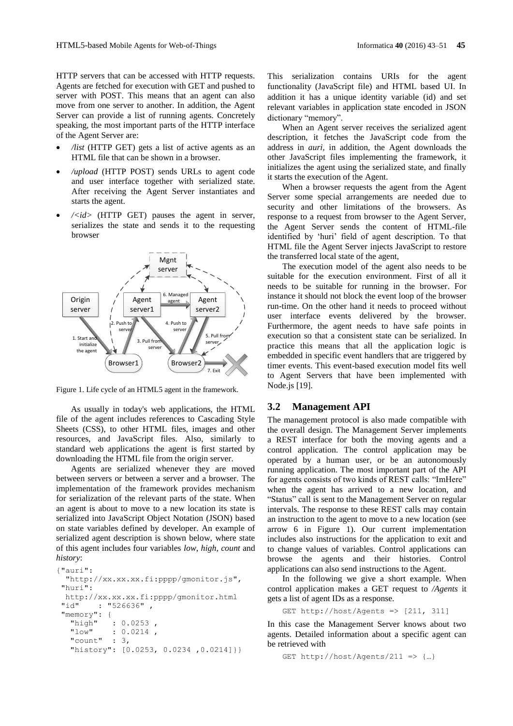HTTP servers that can be accessed with HTTP requests. Agents are fetched for execution with GET and pushed to server with POST. This means that an agent can also move from one server to another. In addition, the Agent Server can provide a list of running agents. Concretely speaking, the most important parts of the HTTP interface of the Agent Server are:

- */list* (HTTP GET) gets a list of active agents as an HTML file that can be shown in a browser.
- */upload* (HTTP POST) sends URLs to agent code and user interface together with serialized state. After receiving the Agent Server instantiates and starts the agent.
- $\langle \langle \cdot | d \rangle$  (HTTP GET) pauses the agent in server, serializes the state and sends it to the requesting browser



Figure 1. Life cycle of an HTML5 agent in the framework.

As usually in today's web applications, the HTML file of the agent includes references to Cascading Style Sheets (CSS), to other HTML files, images and other resources, and JavaScript files. Also, similarly to standard web applications the agent is first started by downloading the HTML file from the origin server.

Agents are serialized whenever they are moved between servers or between a server and a browser. The implementation of the framework provides mechanism for serialization of the relevant parts of the state. When an agent is about to move to a new location its state is serialized into JavaScript Object Notation (JSON) based on state variables defined by developer. An example of serialized agent description is shown below, where state of this agent includes four variables *low*, *high*, *count* and *history*:

```
{"auri":
  "http://xx.xx.xx.fi:pppp/gmonitor.js",
"huri":
  http://xx.xx.xx.fi:pppp/gmonitor.html
"id" : "526636",
"memory": {
  "high" : 0.0253,
   "low" : 0.0214 ,
   "count" : 3,
  "history": [0.0253, 0.0234, 0.0214]}}
```
This serialization contains URIs for the agent functionality (JavaScript file) and HTML based UI. In addition it has a unique identity variable (id) and set relevant variables in application state encoded in JSON dictionary "memory".

When an Agent server receives the serialized agent description, it fetches the JavaScript code from the address in *auri*, in addition, the Agent downloads the other JavaScript files implementing the framework, it initializes the agent using the serialized state, and finally it starts the execution of the Agent.

When a browser requests the agent from the Agent Server some special arrangements are needed due to security and other limitations of the browsers. As response to a request from browser to the Agent Server, the Agent Server sends the content of HTML-file identified by 'huri' field of agent description. To that HTML file the Agent Server injects JavaScript to restore the transferred local state of the agent,

The execution model of the agent also needs to be suitable for the execution environment. First of all it needs to be suitable for running in the browser. For instance it should not block the event loop of the browser run-time. On the other hand it needs to proceed without user interface events delivered by the browser. Furthermore, the agent needs to have safe points in execution so that a consistent state can be serialized. In practice this means that all the application logic is embedded in specific event handlers that are triggered by timer events. This event-based execution model fits well to Agent Servers that have been implemented with Node.j[s \[19\].](#page-8-7)

### <span id="page-2-0"></span>**3.2 Management API**

The management protocol is also made compatible with the overall design. The Management Server implements a REST interface for both the moving agents and a control application. The control application may be operated by a human user, or be an autonomously running application. The most important part of the API for agents consists of two kinds of REST calls: "ImHere" when the agent has arrived to a new location, and "Status" call is sent to the Management Server on regular intervals. The response to these REST calls may contain an instruction to the agent to move to a new location (see arrow 6 in Figure 1). Our current implementation includes also instructions for the application to exit and to change values of variables. Control applications can browse the agents and their histories. Control applications can also send instructions to the Agent.

In the following we give a short example. When control application makes a GET request to */Agents* it gets a list of agent IDs as a response.

GET http://host/Agents =>  $[211, 311]$ 

In this case the Management Server knows about two agents. Detailed information about a specific agent can be retrieved with

```
GET http://host/Agents/211 => {...}
```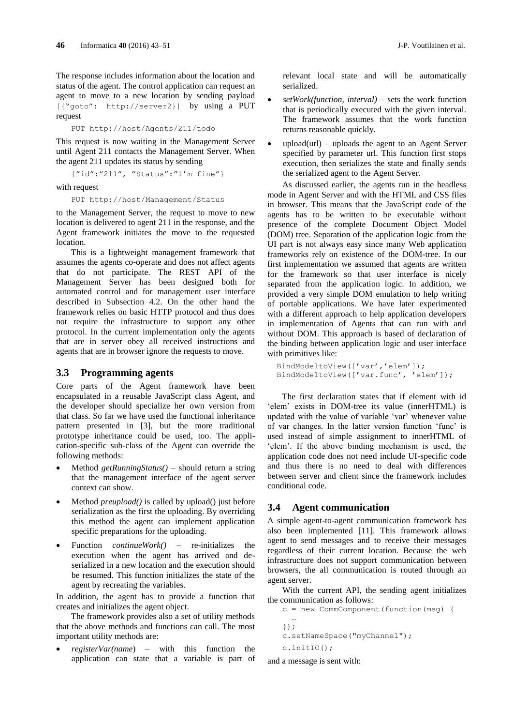The response includes information about the location and status of the agent. The control application can request an agent to move to a new location by sending payload [{"goto": [http://server2}](http://server2/)] by using a PUT request

PUT<http://host/Agents/211/todo>

This request is now waiting in the Management Server until Agent 211 contacts the Management Server. When the agent 211 updates its status by sending

{"id":"211", "Status":"I'm fine"}

with request

PUT<http://host/Management/Status>

to the Management Server, the request to move to new location is delivered to agent 211 in the response, and the Agent framework initiates the move to the requested location.

This is a lightweight management framework that assumes the agents co-operate and does not affect agents that do not participate. The REST API of the Management Server has been designed both for automated control and for management user interface described in Subsection 4.2. On the other hand the framework relies on basic HTTP protocol and thus does not require the infrastructure to support any other protocol. In the current implementation only the agents that are in server obey all received instructions and agents that are in browser ignore the requests to move.

#### **3.3 Programming agents**

Core parts of the Agent framework have been encapsulated in a reusable JavaScript class Agent, and the developer should specialize her own version from that class. So far we have used the functional inheritance pattern presented in [\[3\],](#page-7-1) but the more traditional prototype inheritance could be used, too. The application-specific sub-class of the Agent can override the following methods:

- Method *getRunningStatus()*  should return a string that the management interface of the agent server context can show.
- Method *preupload()* is called by upload() just before serialization as the first the uploading. By overriding this method the agent can implement application specific preparations for the uploading.
- Function *continueWork()* re-initializes the execution when the agent has arrived and deserialized in a new location and the execution should be resumed. This function initializes the state of the agent by recreating the variables.

In addition, the agent has to provide a function that creates and initializes the agent object.

The framework provides also a set of utility methods that the above methods and functions can call. The most important utility methods are:

 *registerVar(name*) – with this function the application can state that a variable is part of relevant local state and will be automatically serialized.

- *setWork(function, interval)* sets the work function that is periodically executed with the given interval. The framework assumes that the work function returns reasonable quickly.
- upload(url) uploads the agent to an Agent Server specified by parameter url. This function first stops execution, then serializes the state and finally sends the serialized agent to the Agent Server.

As discussed earlier, the agents run in the headless mode in Agent Server and with the HTML and CSS files in browser. This means that the JavaScript code of the agents has to be written to be executable without presence of the complete Document Object Model (DOM) tree. Separation of the application logic from the UI part is not always easy since many Web application frameworks rely on existence of the DOM-tree. In our first implementation we assumed that agents are written for the framework so that user interface is nicely separated from the application logic. In addition, we provided a very simple DOM emulation to help writing of portable applications. We have later experimented with a different approach to help application developers in implementation of Agents that can run with and without DOM. This approach is based of declaration of the binding between application logic and user interface with primitives like:

```
 BindModeltoView(['var','elem']);
 BindModeltoView(['var.func', 'elem']);
```
The first declaration states that if element with id 'elem' exists in DOM-tree its value (innerHTML) is updated with the value of variable 'var' whenever value of var changes. In the latter version function 'func' is used instead of simple assignment to innerHTML of 'elem'. If the above binding mechanism is used, the application code does not need include UI-specific code and thus there is no need to deal with differences between server and client since the framework includes conditional code.

### **3.4 Agent communication**

A simple agent-to-agent communication framework has also been implemented [\[11\].](#page-8-2) This framework allows agent to send messages and to receive their messages regardless of their current location. Because the web infrastructure does not support communication between browsers, the all communication is routed through an agent server.

With the current API, the sending agent initializes the communication as follows:

```
c = new CommComponent(function(msg) {
```

```
 …
}); 
c.setNameSpace("myChannel"); 
c.initIO();
```
and a message is sent with: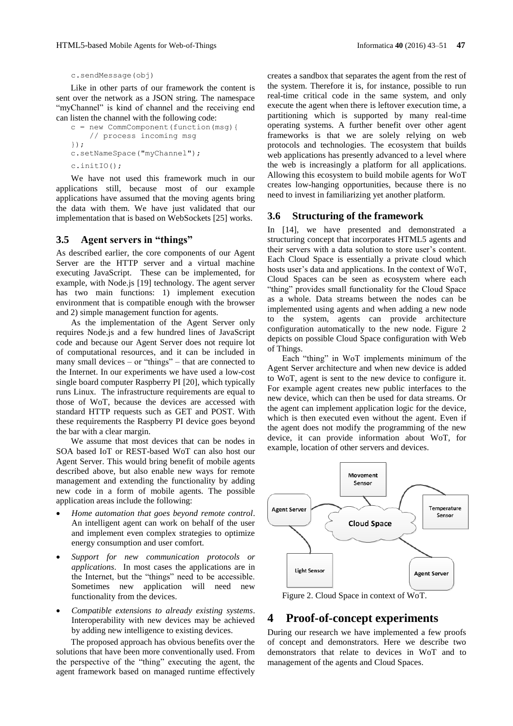c.sendMessage(obj)

Like in other parts of our framework the content is sent over the network as a JSON string. The namespace "myChannel" is kind of channel and the receiving end can listen the channel with the following code:

```
c = new CommComponent(function(msg){ 
     // process incoming msg
});
c.setNameSpace("myChannel"); 
c.initIO();
```
We have not used this framework much in our applications still, because most of our example applications have assumed that the moving agents bring the data with them. We have just validated that our implementation that is based on WebSockets [\[25\]](#page-8-8) works.

#### **3.5 Agent servers in "things"**

As described earlier, the core components of our Agent Server are the HTTP server and a virtual machine executing JavaScript. These can be implemented, for example, with Node.js [\[19\]](#page-8-7) technology. The agent server has two main functions: 1) implement execution environment that is compatible enough with the browser and 2) simple management function for agents.

As the implementation of the Agent Server only requires Node.js and a few hundred lines of JavaScript code and because our Agent Server does not require lot of computational resources, and it can be included in many small devices – or "things" – that are connected to the Internet. In our experiments we have used a low-cost single board computer Raspberry PI [\[20\],](#page-8-9) which typically runs Linux. The infrastructure requirements are equal to those of WoT, because the devices are accessed with standard HTTP requests such as GET and POST. With these requirements the Raspberry PI device goes beyond the bar with a clear margin.

We assume that most devices that can be nodes in SOA based IoT or REST-based WoT can also host our Agent Server. This would bring benefit of mobile agents described above, but also enable new ways for remote management and extending the functionality by adding new code in a form of mobile agents. The possible application areas include the following:

- *Home automation that goes beyond remote control*. An intelligent agent can work on behalf of the user and implement even complex strategies to optimize energy consumption and user comfort.
- *Support for new communication protocols or applications*. In most cases the applications are in the Internet, but the "things" need to be accessible. Sometimes new application will need new functionality from the devices.
- *Compatible extensions to already existing systems*. Interoperability with new devices may be achieved by adding new intelligence to existing devices.

The proposed approach has obvious benefits over the solutions that have been more conventionally used. From the perspective of the "thing" executing the agent, the agent framework based on managed runtime effectively creates a sandbox that separates the agent from the rest of the system. Therefore it is, for instance, possible to run real-time critical code in the same system, and only execute the agent when there is leftover execution time, a partitioning which is supported by many real-time operating systems. A further benefit over other agent frameworks is that we are solely relying on web protocols and technologies. The ecosystem that builds web applications has presently advanced to a level where the web is increasingly a platform for all applications. Allowing this ecosystem to build mobile agents for WoT creates low-hanging opportunities, because there is no need to invest in familiarizing yet another platform.

#### **3.6 Structuring of the framework**

In [\[14\],](#page-8-4) we have presented and demonstrated a structuring concept that incorporates HTML5 agents and their servers with a data solution to store user's content. Each Cloud Space is essentially a private cloud which hosts user's data and applications. In the context of WoT, Cloud Spaces can be seen as ecosystem where each "thing" provides small functionality for the Cloud Space as a whole. Data streams between the nodes can be implemented using agents and when adding a new node to the system, agents can provide architecture configuration automatically to the new node. Figure 2 depicts on possible Cloud Space configuration with Web of Things.

Each "thing" in WoT implements minimum of the Agent Server architecture and when new device is added to WoT, agent is sent to the new device to configure it. For example agent creates new public interfaces to the new device, which can then be used for data streams. Or the agent can implement application logic for the device, which is then executed even without the agent. Even if the agent does not modify the programming of the new device, it can provide information about WoT, for example, location of other servers and devices.



Figure 2. Cloud Space in context of WoT.

# **4 Proof-of-concept experiments**

During our research we have implemented a few proofs of concept and demonstrators. Here we describe two demonstrators that relate to devices in WoT and to management of the agents and Cloud Spaces.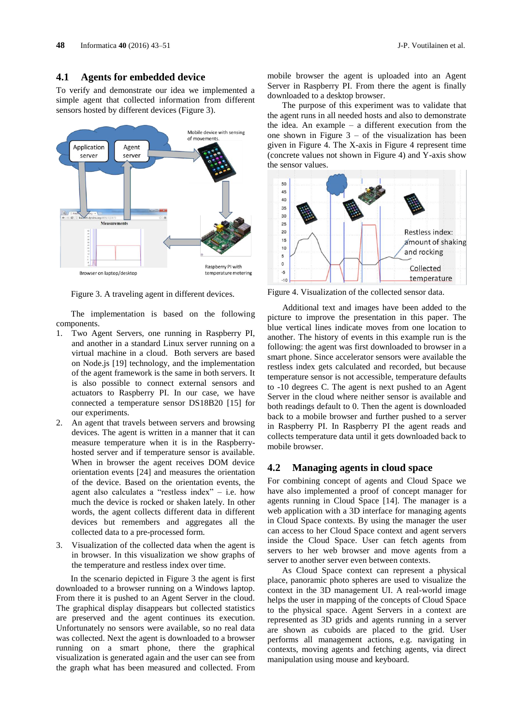#### **4.1 Agents for embedded device**

To verify and demonstrate our idea we implemented a simple agent that collected information from different sensors hosted by different devices (Figure 3).



Figure 3. A traveling agent in different devices.

The implementation is based on the following components.

- 1. Two Agent Servers, one running in Raspberry PI, and another in a standard Linux server running on a virtual machine in a cloud. Both servers are based on Node.js [\[19\]](#page-8-7) technology, and the implementation of the agent framework is the same in both servers. It is also possible to connect external sensors and actuators to Raspberry PI. In our case, we have connected a temperature sensor DS18B20 [\[15\]](#page-8-10) for our experiments.
- 2. An agent that travels between servers and browsing devices. The agent is written in a manner that it can measure temperature when it is in the Raspberryhosted server and if temperature sensor is available. When in browser the agent receives DOM device orientation events [\[24\]](#page-8-11) and measures the orientation of the device. Based on the orientation events, the agent also calculates a "restless index" – i.e. how much the device is rocked or shaken lately. In other words, the agent collects different data in different devices but remembers and aggregates all the collected data to a pre-processed form.
- 3. Visualization of the collected data when the agent is in browser. In this visualization we show graphs of the temperature and restless index over time.

In the scenario depicted in Figure 3 the agent is first downloaded to a browser running on a Windows laptop. From there it is pushed to an Agent Server in the cloud. The graphical display disappears but collected statistics are preserved and the agent continues its execution. Unfortunately no sensors were available, so no real data was collected. Next the agent is downloaded to a browser running on a smart phone, there the graphical visualization is generated again and the user can see from the graph what has been measured and collected. From

mobile browser the agent is uploaded into an Agent Server in Raspberry PI. From there the agent is finally downloaded to a desktop browser.

The purpose of this experiment was to validate that the agent runs in all needed hosts and also to demonstrate the idea. An example – a different execution from the one shown in Figure  $3 -$  of the visualization has been given in Figure 4. The X-axis in Figure 4 represent time (concrete values not shown in Figure 4) and Y-axis show the sensor values.



Figure 4. Visualization of the collected sensor data.

Additional text and images have been added to the picture to improve the presentation in this paper. The blue vertical lines indicate moves from one location to another. The history of events in this example run is the following: the agent was first downloaded to browser in a smart phone. Since accelerator sensors were available the restless index gets calculated and recorded, but because temperature sensor is not accessible, temperature defaults to -10 degrees C. The agent is next pushed to an Agent Server in the cloud where neither sensor is available and both readings default to 0. Then the agent is downloaded back to a mobile browser and further pushed to a server in Raspberry PI. In Raspberry PI the agent reads and collects temperature data until it gets downloaded back to mobile browser.

#### **4.2 Managing agents in cloud space**

For combining concept of agents and Cloud Space we have also implemented a proof of concept manager for agents running in Cloud Space [\[14\].](#page-8-4) The manager is a web application with a 3D interface for managing agents in Cloud Space contexts. By using the manager the user can access to her Cloud Space context and agent servers inside the Cloud Space. User can fetch agents from servers to her web browser and move agents from a server to another server even between contexts.

As Cloud Space context can represent a physical place, panoramic photo spheres are used to visualize the context in the 3D management UI. A real-world image helps the user in mapping of the concepts of Cloud Space to the physical space. Agent Servers in a context are represented as 3D grids and agents running in a server are shown as cuboids are placed to the grid. User performs all management actions, e.g. navigating in contexts, moving agents and fetching agents, via direct manipulation using mouse and keyboard.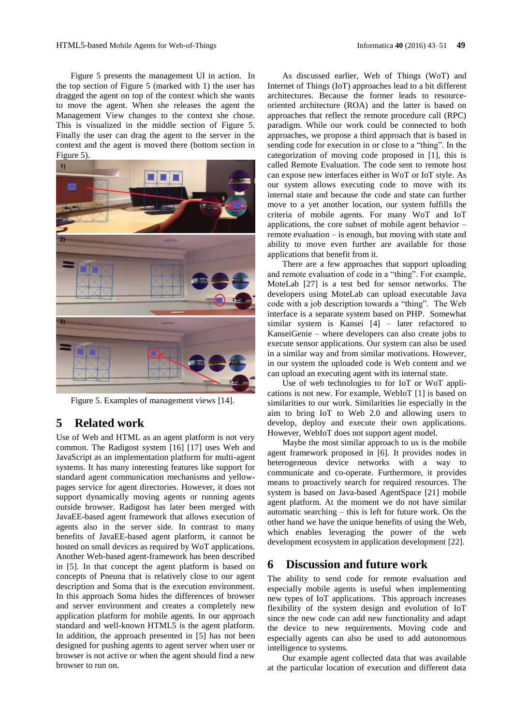Figure 5 presents the management UI in action. In the top section of Figure 5 (marked with 1) the user has dragged the agent on top of the context which she wants to move the agent. When she releases the agent the Management View changes to the context she chose. This is visualized in the middle section of Figure 5. Finally the user can drag the agent to the server in the context and the agent is moved there (bottom section in Figure 5).



Figure 5. Examples of management views [\[14\].](#page-8-4)

# **5 Related work**

Use of Web and HTML as an agent platform is not very common. The Radigost system [\[16\]](#page-8-12) [\[17\]](#page-8-13) uses Web and JavaScript as an implementation platform for multi-agent systems. It has many interesting features like support for standard agent communication mechanisms and yellowpages service for agent directories. However, it does not support dynamically moving agents or running agents outside browser. Radigost has later been merged with JavaEE-based agent framework that allows execution of agents also in the server side. In contrast to many benefits of JavaEE-based agent platform, it cannot be hosted on small devices as required by WoT applications. Another Web-based agent-framework has been described in [\[5\].](#page-7-2) In that concept the agent platform is based on concepts of Pneuna that is relatively close to our agent description and Soma that is the execution environment. In this approach Soma hides the differences of browser and server environment and creates a completely new application platform for mobile agents. In our approach standard and well-known HTML5 is the agent platform. In addition, the approach presented in [\[5\]](#page-7-2) has not been designed for pushing agents to agent server when user or browser is not active or when the agent should find a new browser to run on.

As discussed earlier, Web of Things (WoT) and Internet of Things (IoT) approaches lead to a bit different architectures. Because the former leads to resourceoriented architecture (ROA) and the latter is based on approaches that reflect the remote procedure call (RPC) paradigm. While our work could be connected to both approaches, we propose a third approach that is based in sending code for execution in or close to a "thing". In the categorization of moving code proposed in [\[1\],](#page-7-3) this is called Remote Evaluation. The code sent to remote host can expose new interfaces either in WoT or IoT style. As our system allows executing code to move with its internal state and because the code and state can further move to a yet another location, our system fulfills the criteria of mobile agents. For many WoT and IoT applications, the core subset of mobile agent behavior – remote evaluation – is enough, but moving with state and ability to move even further are available for those applications that benefit from it.

There are a few approaches that support uploading and remote evaluation of code in a "thing". For example, MoteLab [\[27\]](#page-8-14) is a test bed for sensor networks. The developers using MoteLab can upload executable Java code with a job description towards a "thing". The Web interface is a separate system based on PHP. Somewhat similar system is Kansei [\[4\]](#page-7-4) – later refactored to KanseiGenie – where developers can also create jobs to execute sensor applications. Our system can also be used in a similar way and from similar motivations. However, in our system the uploaded code is Web content and we can upload an executing agent with its internal state.

Use of web technologies to for IoT or WoT applications is not new. For example, WebIoT [\[1\]](#page-7-3) is based on similarities to our work. Similarities lie especially in the aim to bring IoT to Web 2.0 and allowing users to develop, deploy and execute their own applications. However, WebIoT does not support agent model.

Maybe the most similar approach to us is the mobile agent framework proposed in [\[6\].](#page-7-5) It provides nodes in heterogeneous device networks with a way to communicate and co-operate. Furthermore, it provides means to proactively search for required resources. The system is based on Java-based AgentSpace [\[21\]](#page-8-15) mobile agent platform. At the moment we do not have similar automatic searching – this is left for future work. On the other hand we have the unique benefits of using the Web, which enables leveraging the power of the web development ecosystem in application development [\[22\].](#page-8-5)

## **6 Discussion and future work**

The ability to send code for remote evaluation and especially mobile agents is useful when implementing new types of IoT applications. This approach increases flexibility of the system design and evolution of IoT since the new code can add new functionality and adapt the device to new requirements. Moving code and especially agents can also be used to add autonomous intelligence to systems.

Our example agent collected data that was available at the particular location of execution and different data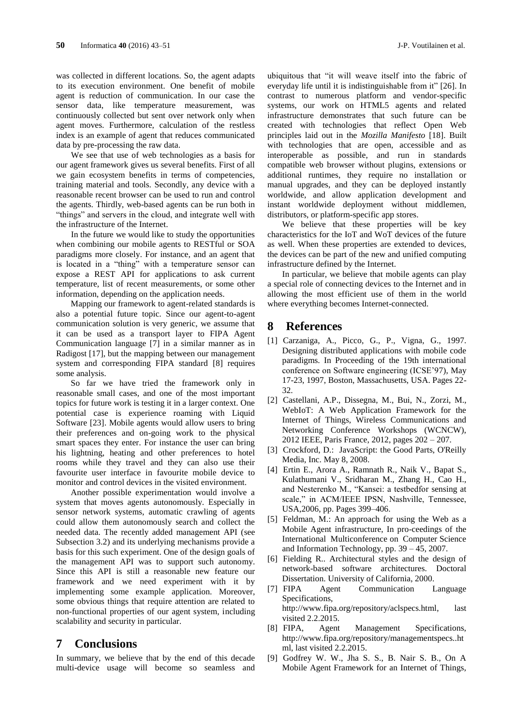was collected in different locations. So, the agent adapts to its execution environment. One benefit of mobile agent is reduction of communication. In our case the sensor data, like temperature measurement, was continuously collected but sent over network only when agent moves. Furthermore, calculation of the restless index is an example of agent that reduces communicated data by pre-processing the raw data.

We see that use of web technologies as a basis for our agent framework gives us several benefits. First of all we gain ecosystem benefits in terms of competencies, training material and tools. Secondly, any device with a reasonable recent browser can be used to run and control the agents. Thirdly, web-based agents can be run both in "things" and servers in the cloud, and integrate well with the infrastructure of the Internet.

In the future we would like to study the opportunities when combining our mobile agents to RESTful or SOA paradigms more closely. For instance, and an agent that is located in a "thing" with a temperature sensor can expose a REST API for applications to ask current temperature, list of recent measurements, or some other information, depending on the application needs.

Mapping our framework to agent-related standards is also a potential future topic. Since our agent-to-agent communication solution is very generic, we assume that it can be used as a transport layer to FIPA Agent Communication language [\[7\]](#page-7-6) in a similar manner as in Radigost [\[17\],](#page-8-13) but the mapping between our management system and corresponding FIPA standard [\[8\]](#page-7-7) requires some analysis.

So far we have tried the framework only in reasonable small cases, and one of the most important topics for future work is testing it in a larger context. One potential case is experience roaming with Liquid Software [\[23\].](#page-8-0) Mobile agents would allow users to bring their preferences and on-going work to the physical smart spaces they enter. For instance the user can bring his lightning, heating and other preferences to hotel rooms while they travel and they can also use their favourite user interface in favourite mobile device to monitor and control devices in the visited environment.

Another possible experimentation would involve a system that moves agents autonomously. Especially in sensor network systems, automatic crawling of agents could allow them autonomously search and collect the needed data. The recently added management API (see Subsection [3.2\)](#page-2-0) and its underlying mechanisms provide a basis for this such experiment. One of the design goals of the management API was to support such autonomy. Since this API is still a reasonable new feature our framework and we need experiment with it by implementing some example application. Moreover, some obvious things that require attention are related to non-functional properties of our agent system, including scalability and security in particular.

### **7 Conclusions**

In summary, we believe that by the end of this decade multi-device usage will become so seamless and

ubiquitous that "it will weave itself into the fabric of everyday life until it is indistinguishable from it" [\[26\].](#page-8-16) In contrast to numerous platform and vendor-specific systems, our work on HTML5 agents and related infrastructure demonstrates that such future can be created with technologies that reflect Open Web principles laid out in the *Mozilla Manifesto* [\[18\].](#page-8-17) Built with technologies that are open, accessible and as interoperable as possible, and run in standards compatible web browser without plugins, extensions or additional runtimes, they require no installation or manual upgrades, and they can be deployed instantly worldwide, and allow application development and instant worldwide deployment without middlemen, distributors, or platform-specific app stores.

We believe that these properties will be key characteristics for the IoT and WoT devices of the future as well. When these properties are extended to devices, the devices can be part of the new and unified computing infrastructure defined by the Internet.

In particular, we believe that mobile agents can play a special role of connecting devices to the Internet and in allowing the most efficient use of them in the world where everything becomes Internet-connected.

### **8 References**

- <span id="page-7-3"></span>[1] Carzaniga, A., Picco, G., P., Vigna, G., 1997. Designing distributed applications with mobile code paradigms. In Proceeding of the 19th international conference on Software engineering (ICSE'97), May 17-23, 1997, Boston, Massachusetts, USA. Pages 22- 32.
- [2] Castellani, A.P., Dissegna, M., Bui, N., Zorzi, M., WebIoT: A Web Application Framework for the Internet of Things, Wireless Communications and Networking Conference Workshops (WCNCW), 2012 IEEE, Paris France, 2012, pages 202 – 207.
- <span id="page-7-1"></span>[3] Crockford, D.: JavaScript: the Good Parts, O'Reilly Media, Inc. May 8, 2008.
- <span id="page-7-4"></span>[4] Ertin E., Arora A., Ramnath R., Naik V., Bapat S., Kulathumani V., Sridharan M., Zhang H., Cao H., and Nesterenko M., "Kansei: a testbedfor sensing at scale," in ACM/IEEE IPSN, Nashville, Tennessee, USA,2006, pp. Pages 399–406.
- <span id="page-7-2"></span>[5] Feldman, M.: An approach for using the Web as a Mobile Agent infrastructure, In pro-ceedings of the International Multiconference on Computer Science and Information Technology, pp. 39 – 45, 2007.
- <span id="page-7-0"></span>[6] Fielding R.. Architectural styles and the design of network-based software architectures. Doctoral Dissertation. University of California, 2000.
- <span id="page-7-6"></span><span id="page-7-5"></span>[7] FIPA Agent Communication Language Specifications, http://www.fipa.org/repository/aclspecs.html, last visited 2.2.2015.
- <span id="page-7-7"></span>[8] FIPA, Agent Management Specifications, [http://www.fipa.org/repository/managementspecs..ht](http://www.fipa.org/repository/managementspecs..html) [ml,](http://www.fipa.org/repository/managementspecs..html) last visited 2.2.2015.
- [9] Godfrey W. W., Jha S. S., B. Nair S. B., On A Mobile Agent Framework for an Internet of Things,